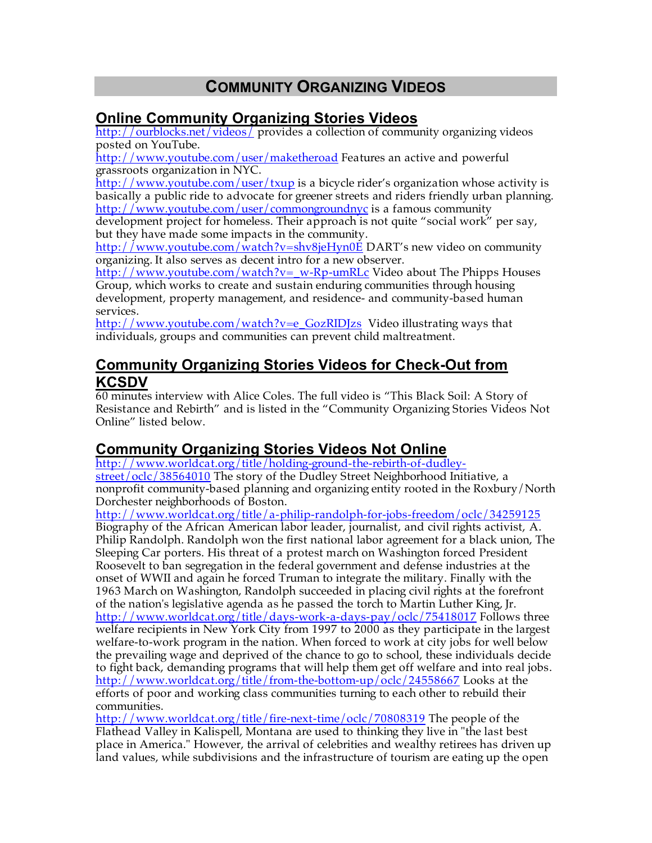# **COMMUNITY ORGANIZING VIDEOS**

### **Online Community Organizing Stories Videos**

http://ourblocks.net/videos/ provides a collection of community organizing videos posted on YouTube.

http://www.youtube.com/user/maketheroad Features an active and powerful grassroots organization in NYC.

http://www.youtube.com/user/txup is a bicycle rider's organization whose activity is basically a public ride to advocate for greener streets and riders friendly urban planning. http://www.youtube.com/user/commongroundnyc is a famous community

development project for homeless. Their approach is not quite "social work" per say, but they have made some impacts in the community.

http://www.youtube.com/watch?v=shv8jeHyn0E DART's new video on community organizing. It also serves as decent intro for a new observer.

http://www.youtube.com/watch?v=\_w-Rp-umRLc Video about The Phipps Houses Group, which works to create and sustain enduring communities through housing development, property management, and residence- and community-based human services.

http://www.youtube.com/watch?v=e\_GozRIDJzs Video illustrating ways that individuals, groups and communities can prevent child maltreatment.

#### **Community Organizing Stories Videos for Check-Out from KCSDV**

60 minutes interview with Alice Coles. The full video is "This Black Soil: A Story of Resistance and Rebirth" and is listed in the "Community Organizing Stories Videos Not Online" listed below.

## **Community Organizing Stories Videos Not Online**

http://www.worldcat.org/title/holding-ground-the-rebirth-of-dudleystreet/oclc/38564010 The story of the Dudley Street Neighborhood Initiative, a nonprofit community-based planning and organizing entity rooted in the Roxbury/North Dorchester neighborhoods of Boston.

http://www.worldcat.org/title/a-philip-randolph-for-jobs-freedom/oclc/34259125 Biography of the African American labor leader, journalist, and civil rights activist, A. Philip Randolph. Randolph won the first national labor agreement for a black union, The Sleeping Car porters. His threat of a protest march on Washington forced President Roosevelt to ban segregation in the federal government and defense industries at the onset of WWII and again he forced Truman to integrate the military. Finally with the 1963 March on Washington, Randolph succeeded in placing civil rights at the forefront of the nation's legislative agenda as he passed the torch to Martin Luther King, Jr. http://www.worldcat.org/title/days-work-a-days-pay/oclc/75418017 Follows three welfare recipients in New York City from 1997 to 2000 as they participate in the largest welfare-to-work program in the nation. When forced to work at city jobs for well below the prevailing wage and deprived of the chance to go to school, these individuals decide to fight back, demanding programs that will help them get off welfare and into real jobs. http://www.worldcat.org/title/from-the-bottom-up/oclc/24558667 Looks at the efforts of poor and working class communities turning to each other to rebuild their communities.

http://www.worldcat.org/title/fire-next-time/oclc/70808319 The people of the Flathead Valley in Kalispell, Montana are used to thinking they live in "the last best place in America." However, the arrival of celebrities and wealthy retirees has driven up land values, while subdivisions and the infrastructure of tourism are eating up the open